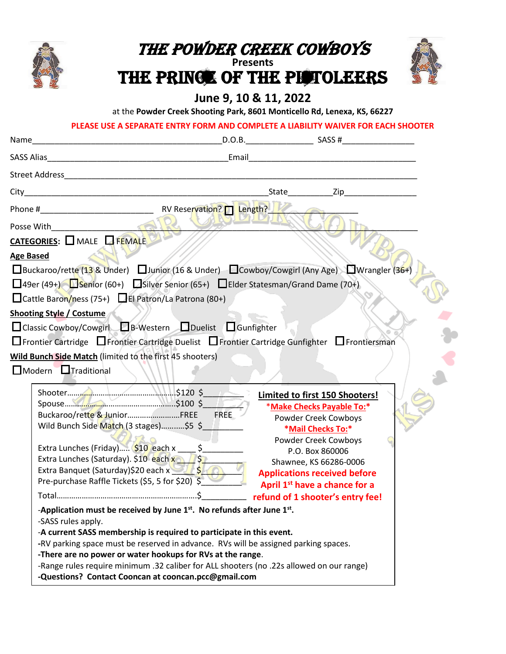

# The powder creek Cowboys

**Presents**

THE PRINCE OF THE PISTOLEERS



### **June 9, 10 & 11, 2022**

at the **Powder Creek Shooting Park, 8601 Monticello Rd, Lenexa, KS, 66227**

#### **PLEASE USE A SEPARATE ENTRY FORM AND COMPLETE A LIABILITY WAIVER FOR EACH SHOOTER**

| □Buckaroo/rette (13 & Under) □ Junior (16 & Under) □ Cowboy/Cowgirl (Any Age) □ Wrangler (36+)<br>$\Box$ 49er (49+) Senior (60+) Silver Senior (65+) $\Box$ Elder Statesman/Grand Dame (70+)<br>□ Cattle Baron/ness (75+) □ El Patron/La Patrona (80+)<br>□ Classic Cowboy/Cowgirl □ B-Western □ Duelist □ Gunfighter<br>$\Box$ Frontier Cartridge $\Box$ Frontier Cartridge Duelist $\Box$ Frontier Cartridge Gunfighter $\Box$ Frontiersman<br><b>Wild Bunch Side Match (limited to the first 45 shooters)</b><br>$\Box$ Modern $\Box$ Traditional<br>Limited to first 150 Shooters!<br>*Make Checks Payable To:*<br>Buckaroo/rette & JuniorFREE<br>FREE<br>Powder Creek Cowboys<br>Wild Bunch Side Match (3 stages)\$5 \$<br>*Mail Checks To:*<br>Powder Creek Cowboys<br>P.O. Box 860006<br>Extra Lunches (Saturday). \$10 each x 3 / \$<br>Shawnee, KS 66286-0006<br>Extra Banquet (Saturday)\$20 each x 3 5 5 6 3<br><b>Applications received before</b><br>Pre-purchase Raffle Tickets (\$5, 5 for \$20) \$<br>April 1 <sup>st</sup> have a chance for a<br>refund of 1 shooter's entry fee!<br>-Application must be received by June $1st$ . No refunds after June $1st$ .<br>-SASS rules apply.<br>-A current SASS membership is required to participate in this event.<br>-RV parking space must be reserved in advance. RVs will be assigned parking spaces.<br>-There are no power or water hookups for RVs at the range. |                                 |  |  |  |  |
|---------------------------------------------------------------------------------------------------------------------------------------------------------------------------------------------------------------------------------------------------------------------------------------------------------------------------------------------------------------------------------------------------------------------------------------------------------------------------------------------------------------------------------------------------------------------------------------------------------------------------------------------------------------------------------------------------------------------------------------------------------------------------------------------------------------------------------------------------------------------------------------------------------------------------------------------------------------------------------------------------------------------------------------------------------------------------------------------------------------------------------------------------------------------------------------------------------------------------------------------------------------------------------------------------------------------------------------------------------------------------------------------------------------------------------------|---------------------------------|--|--|--|--|
|                                                                                                                                                                                                                                                                                                                                                                                                                                                                                                                                                                                                                                                                                                                                                                                                                                                                                                                                                                                                                                                                                                                                                                                                                                                                                                                                                                                                                                       |                                 |  |  |  |  |
|                                                                                                                                                                                                                                                                                                                                                                                                                                                                                                                                                                                                                                                                                                                                                                                                                                                                                                                                                                                                                                                                                                                                                                                                                                                                                                                                                                                                                                       |                                 |  |  |  |  |
|                                                                                                                                                                                                                                                                                                                                                                                                                                                                                                                                                                                                                                                                                                                                                                                                                                                                                                                                                                                                                                                                                                                                                                                                                                                                                                                                                                                                                                       | City                            |  |  |  |  |
|                                                                                                                                                                                                                                                                                                                                                                                                                                                                                                                                                                                                                                                                                                                                                                                                                                                                                                                                                                                                                                                                                                                                                                                                                                                                                                                                                                                                                                       |                                 |  |  |  |  |
|                                                                                                                                                                                                                                                                                                                                                                                                                                                                                                                                                                                                                                                                                                                                                                                                                                                                                                                                                                                                                                                                                                                                                                                                                                                                                                                                                                                                                                       | Posse With                      |  |  |  |  |
|                                                                                                                                                                                                                                                                                                                                                                                                                                                                                                                                                                                                                                                                                                                                                                                                                                                                                                                                                                                                                                                                                                                                                                                                                                                                                                                                                                                                                                       | CATEGORIES: MALE FEMALE         |  |  |  |  |
|                                                                                                                                                                                                                                                                                                                                                                                                                                                                                                                                                                                                                                                                                                                                                                                                                                                                                                                                                                                                                                                                                                                                                                                                                                                                                                                                                                                                                                       | <b>Age Based</b>                |  |  |  |  |
|                                                                                                                                                                                                                                                                                                                                                                                                                                                                                                                                                                                                                                                                                                                                                                                                                                                                                                                                                                                                                                                                                                                                                                                                                                                                                                                                                                                                                                       |                                 |  |  |  |  |
|                                                                                                                                                                                                                                                                                                                                                                                                                                                                                                                                                                                                                                                                                                                                                                                                                                                                                                                                                                                                                                                                                                                                                                                                                                                                                                                                                                                                                                       |                                 |  |  |  |  |
|                                                                                                                                                                                                                                                                                                                                                                                                                                                                                                                                                                                                                                                                                                                                                                                                                                                                                                                                                                                                                                                                                                                                                                                                                                                                                                                                                                                                                                       |                                 |  |  |  |  |
|                                                                                                                                                                                                                                                                                                                                                                                                                                                                                                                                                                                                                                                                                                                                                                                                                                                                                                                                                                                                                                                                                                                                                                                                                                                                                                                                                                                                                                       | <b>Shooting Style / Costume</b> |  |  |  |  |
|                                                                                                                                                                                                                                                                                                                                                                                                                                                                                                                                                                                                                                                                                                                                                                                                                                                                                                                                                                                                                                                                                                                                                                                                                                                                                                                                                                                                                                       |                                 |  |  |  |  |
|                                                                                                                                                                                                                                                                                                                                                                                                                                                                                                                                                                                                                                                                                                                                                                                                                                                                                                                                                                                                                                                                                                                                                                                                                                                                                                                                                                                                                                       |                                 |  |  |  |  |
|                                                                                                                                                                                                                                                                                                                                                                                                                                                                                                                                                                                                                                                                                                                                                                                                                                                                                                                                                                                                                                                                                                                                                                                                                                                                                                                                                                                                                                       |                                 |  |  |  |  |
|                                                                                                                                                                                                                                                                                                                                                                                                                                                                                                                                                                                                                                                                                                                                                                                                                                                                                                                                                                                                                                                                                                                                                                                                                                                                                                                                                                                                                                       |                                 |  |  |  |  |
|                                                                                                                                                                                                                                                                                                                                                                                                                                                                                                                                                                                                                                                                                                                                                                                                                                                                                                                                                                                                                                                                                                                                                                                                                                                                                                                                                                                                                                       |                                 |  |  |  |  |
|                                                                                                                                                                                                                                                                                                                                                                                                                                                                                                                                                                                                                                                                                                                                                                                                                                                                                                                                                                                                                                                                                                                                                                                                                                                                                                                                                                                                                                       |                                 |  |  |  |  |
|                                                                                                                                                                                                                                                                                                                                                                                                                                                                                                                                                                                                                                                                                                                                                                                                                                                                                                                                                                                                                                                                                                                                                                                                                                                                                                                                                                                                                                       |                                 |  |  |  |  |
|                                                                                                                                                                                                                                                                                                                                                                                                                                                                                                                                                                                                                                                                                                                                                                                                                                                                                                                                                                                                                                                                                                                                                                                                                                                                                                                                                                                                                                       |                                 |  |  |  |  |
|                                                                                                                                                                                                                                                                                                                                                                                                                                                                                                                                                                                                                                                                                                                                                                                                                                                                                                                                                                                                                                                                                                                                                                                                                                                                                                                                                                                                                                       |                                 |  |  |  |  |
|                                                                                                                                                                                                                                                                                                                                                                                                                                                                                                                                                                                                                                                                                                                                                                                                                                                                                                                                                                                                                                                                                                                                                                                                                                                                                                                                                                                                                                       |                                 |  |  |  |  |
|                                                                                                                                                                                                                                                                                                                                                                                                                                                                                                                                                                                                                                                                                                                                                                                                                                                                                                                                                                                                                                                                                                                                                                                                                                                                                                                                                                                                                                       |                                 |  |  |  |  |
|                                                                                                                                                                                                                                                                                                                                                                                                                                                                                                                                                                                                                                                                                                                                                                                                                                                                                                                                                                                                                                                                                                                                                                                                                                                                                                                                                                                                                                       |                                 |  |  |  |  |
|                                                                                                                                                                                                                                                                                                                                                                                                                                                                                                                                                                                                                                                                                                                                                                                                                                                                                                                                                                                                                                                                                                                                                                                                                                                                                                                                                                                                                                       |                                 |  |  |  |  |
|                                                                                                                                                                                                                                                                                                                                                                                                                                                                                                                                                                                                                                                                                                                                                                                                                                                                                                                                                                                                                                                                                                                                                                                                                                                                                                                                                                                                                                       |                                 |  |  |  |  |
|                                                                                                                                                                                                                                                                                                                                                                                                                                                                                                                                                                                                                                                                                                                                                                                                                                                                                                                                                                                                                                                                                                                                                                                                                                                                                                                                                                                                                                       |                                 |  |  |  |  |
|                                                                                                                                                                                                                                                                                                                                                                                                                                                                                                                                                                                                                                                                                                                                                                                                                                                                                                                                                                                                                                                                                                                                                                                                                                                                                                                                                                                                                                       |                                 |  |  |  |  |
|                                                                                                                                                                                                                                                                                                                                                                                                                                                                                                                                                                                                                                                                                                                                                                                                                                                                                                                                                                                                                                                                                                                                                                                                                                                                                                                                                                                                                                       |                                 |  |  |  |  |
|                                                                                                                                                                                                                                                                                                                                                                                                                                                                                                                                                                                                                                                                                                                                                                                                                                                                                                                                                                                                                                                                                                                                                                                                                                                                                                                                                                                                                                       |                                 |  |  |  |  |
| -Range rules require minimum .32 caliber for ALL shooters (no .22s allowed on our range)                                                                                                                                                                                                                                                                                                                                                                                                                                                                                                                                                                                                                                                                                                                                                                                                                                                                                                                                                                                                                                                                                                                                                                                                                                                                                                                                              |                                 |  |  |  |  |
| -Questions? Contact Cooncan at cooncan.pcc@gmail.com                                                                                                                                                                                                                                                                                                                                                                                                                                                                                                                                                                                                                                                                                                                                                                                                                                                                                                                                                                                                                                                                                                                                                                                                                                                                                                                                                                                  |                                 |  |  |  |  |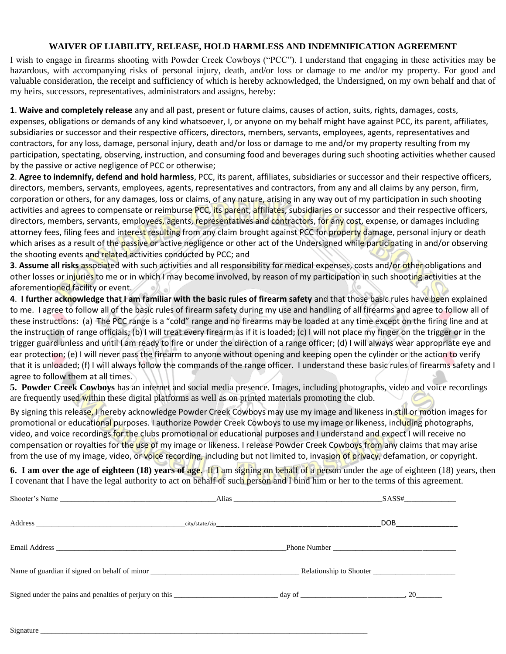#### **WAIVER OF LIABILITY, RELEASE, HOLD HARMLESS AND INDEMNIFICATION AGREEMENT**

I wish to engage in firearms shooting with Powder Creek Cowboys ("PCC"). I understand that engaging in these activities may be hazardous, with accompanying risks of personal injury, death, and/or loss or damage to me and/or my property. For good and valuable consideration, the receipt and sufficiency of which is hereby acknowledged, the Undersigned, on my own behalf and that of my heirs, successors, representatives, administrators and assigns, hereby:

**1**. **Waive and completely release** any and all past, present or future claims, causes of action, suits, rights, damages, costs, expenses, obligations or demands of any kind whatsoever, I, or anyone on my behalf might have against PCC, its parent, affiliates, subsidiaries or successor and their respective officers, directors, members, servants, employees, agents, representatives and contractors, for any loss, damage, personal injury, death and/or loss or damage to me and/or my property resulting from my participation, spectating, observing, instruction, and consuming food and beverages during such shooting activities whether caused by the passive or active negligence of PCC or otherwise;

**2**. **Agree to indemnify, defend and hold harmless**, PCC, its parent, affiliates, subsidiaries or successor and their respective officers, directors, members, servants, employees, agents, representatives and contractors, from any and all claims by any person, firm, corporation or others, for any damages, loss or claims, of any nature, arising in any way out of my participation in such shooting activities and agrees to compensate or reimburse PCC, its parent, affiliates, subsidiaries or successor and their respective officers, directors, members, servants, employees, agents, representatives and contractors, for any cost, expense, or damages including attorney fees, filing fees and interest resulting from any claim brought against PCC for property damage, personal injury or death which arises as a result of the passive or active negligence or other act of the Undersigned while participating in and/or observing the shooting events and related activities conducted by PCC; and

**3**. **Assume all risks** associated with such activities and all responsibility for medical expenses, costs and/or other obligations and other losses or injuries to me or in which I may become involved, by reason of my participation in such shooting activities at the aforementioned facility or event.

**4**. **I further acknowledge that I am familiar with the basic rules of firearm safety** and that those basic rules have been explained to me. I agree to follow all of the basic rules of firearm safety during my use and handling of all firearms and agree to follow all of these instructions: (a) The PCC range is a "cold" range and no firearms may be loaded at any time except on the firing line and at the instruction of range officials; (b) I will treat every firearm as if it is loaded; (c) I will not place my finger on the trigger or in the trigger guard unless and until I am ready to fire or under the direction of a range officer; (d) I will always wear appropriate eye and ear protection; (e) I will never pass the firearm to anyone without opening and keeping open the cylinder or the action to verify that it is unloaded; (f) I will always follow the commands of the range officer. I understand these basic rules of firearms safety and I agree to follow them at all times.

**5. Powder Creek Cowboys** has an internet and social media presence. Images, including photographs, video and voice recordings are frequently used within these digital platforms as well as on printed materials promoting the club.

By signing this release, I hereby acknowledge Powder Creek Cowboys may use my image and likeness in still or motion images for promotional or educational purposes. I authorize Powder Creek Cowboys to use my image or likeness, including photographs, video, and voice recordings for the clubs promotional or educational purposes and I understand and expect I will receive no compensation or royalties for the use of my image or likeness. I release Powder Creek Cowboys from any claims that may arise from the use of my image, video, or voice recording, including but not limited to, invasion of privacy, defamation, or copyright.

**6. I am over the age of eighteen (18) years of age**. If I am signing on behalf of a person under the age of eighteen (18) years, then I covenant that I have the legal authority to act on behalf of such person and I bind him or her to the terms of this agreement.

| Shooter's Name |                                                                                                  | Alias and the contract of the contract of the contract of the contract of the contract of the contract of the contract of the contract of the contract of the contract of the contract of the contract of the contract of the | SASS#             |
|----------------|--------------------------------------------------------------------------------------------------|-------------------------------------------------------------------------------------------------------------------------------------------------------------------------------------------------------------------------------|-------------------|
|                |                                                                                                  |                                                                                                                                                                                                                               | DOB _____________ |
|                |                                                                                                  | Phone Number                                                                                                                                                                                                                  |                   |
|                | Name of guardian if signed on behalf of minor example and the set of the Relationship to Shooter |                                                                                                                                                                                                                               |                   |
|                |                                                                                                  |                                                                                                                                                                                                                               |                   |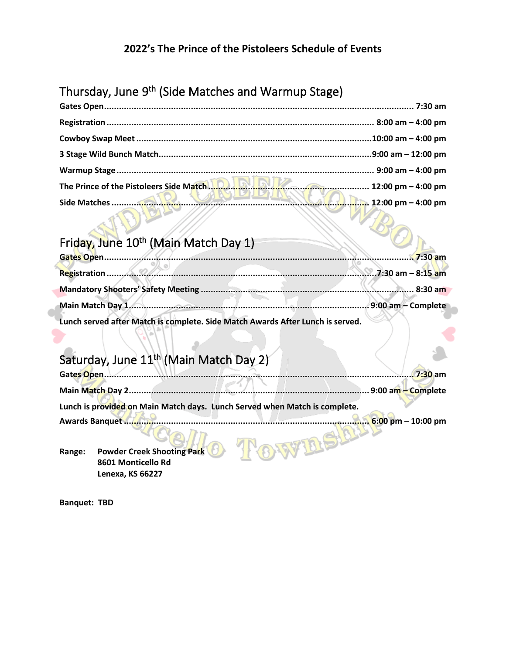#### **2022's The Prince of the Pistoleers Schedule of Events**

# Thursday, June 9<sup>th</sup> (Side Matches and Warmup Stage)

| The Prince of the Pistoleers Side Match 1.0. <b>In the Community Community</b> 12:00 pm – 4:00 pm |                    |
|---------------------------------------------------------------------------------------------------|--------------------|
|                                                                                                   | 12:00 pm – 4:00 pm |

# Friday, June 10<sup>th</sup> (Main Match Day 1)

| Lunch served after Match is complete. Side Match Awards After Lunch is served. |  |
|--------------------------------------------------------------------------------|--|

## Saturday, June 11<sup>th</sup> (Main Match Day 2)

| Gates Open.                                                                | $.7:30$ am                           |
|----------------------------------------------------------------------------|--------------------------------------|
| Main Match Day 2                                                           | . 9:00 am - Complete                 |
| Lunch is provided on Main Match days. Lunch Served when Match is complete. |                                      |
| <b>Awards Banquet</b>                                                      | $6:00 \text{ pm} - 10:00 \text{ pm}$ |
| <b>Powder Creek Shooting Park</b><br>Range:                                |                                      |

**Range: Powder Creek Shooting Park 8601 Monticello Rd Lenexa, KS 66227**

**Banquet: TBD**

٦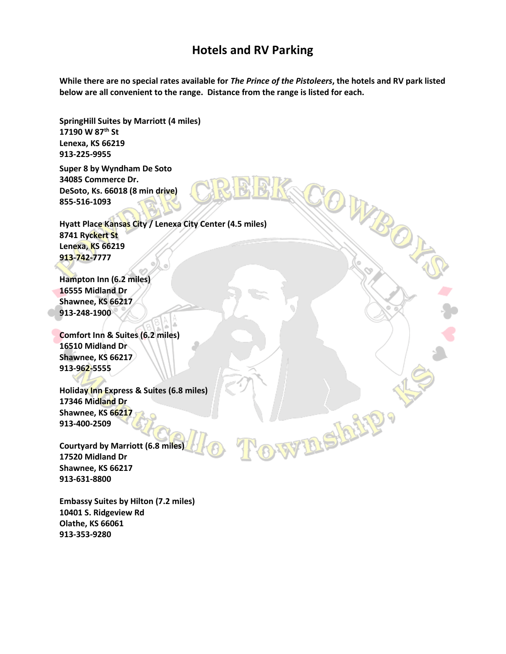## **Hotels and RV Parking**

**While there are no special rates available for** *The Prince of the Pistoleers***, the hotels and RV park listed below are all convenient to the range. Distance from the range is listed for each.**

COWBO

**WIBEIR!!** 

**SpringHill Suites by Marriott (4 miles) 17190 W 87th St Lenexa, KS 66219 913-225-9955**

**Super 8 by Wyndham De Soto 34085 Commerce Dr. DeSoto, Ks. 66018 (8 min drive) 855-516-1093**

**Hyatt Place Kansas City / Lenexa City Center (4.5 miles) 8741 Ryckert St Lenexa, KS 66219 913-742-7777**

**Hampton Inn (6.2 miles) 16555 Midland Dr Shawnee, KS 66217 913-248-1900**

**Comfort Inn & Suites (6.2 miles) 16510 Midland Dr Shawnee, KS 66217 913-962-5555**

**Holiday Inn Express & Suites (6.8 miles) 17346 Midland Dr Shawnee, KS 66217 913-400-2509**

**Courtyard by Marriott (6.8 miles) 17520 Midland Dr Shawnee, KS 66217 913-631-8800**

**Embassy Suites by Hilton (7.2 miles) 10401 S. Ridgeview Rd Olathe, KS 66061 913-353-9280**